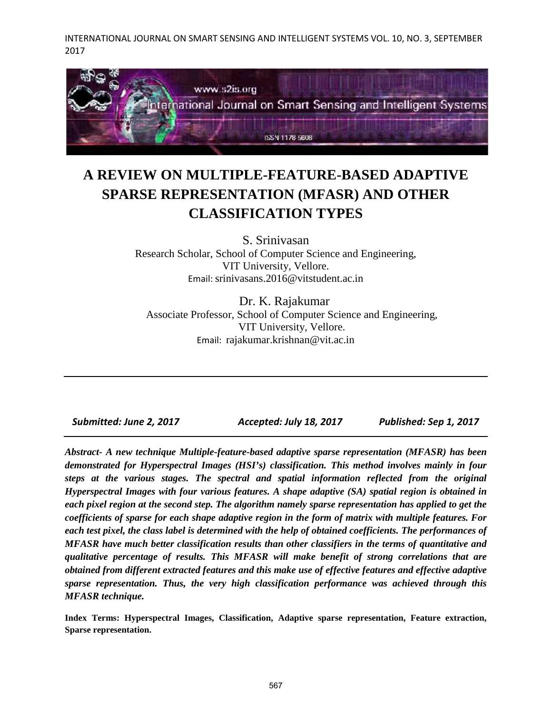

# **A REVIEW ON MULTIPLE-FEATURE-BASED ADAPTIVE SPARSE REPRESENTATION (MFASR) AND OTHER CLASSIFICATION TYPES**

S. Srinivasan Research Scholar, School of Computer Science and Engineering, VIT University, Vellore. Email: srinivasans.2016@vitstudent.ac.in

Dr. K. Rajakumar Associate Professor, School of Computer Science and Engineering, VIT University, Vellore. Email: rajakumar.krishnan@vit.ac.in

*Submitted: June 2, 2017 Accepted: July 18, 2017 Published: Sep 1, 2017*

*Abstract- A new technique Multiple-feature-based adaptive sparse representation (MFASR) has been demonstrated for Hyperspectral Images (HSI's) classification. This method involves mainly in four steps at the various stages. The spectral and spatial information reflected from the original Hyperspectral Images with four various features. A shape adaptive (SA) spatial region is obtained in each pixel region at the second step. The algorithm namely sparse representation has applied to get the coefficients of sparse for each shape adaptive region in the form of matrix with multiple features. For each test pixel, the class label is determined with the help of obtained coefficients. The performances of MFASR have much better classification results than other classifiers in the terms of quantitative and qualitative percentage of results. This MFASR will make benefit of strong correlations that are obtained from different extracted features and this make use of effective features and effective adaptive sparse representation. Thus, the very high classification performance was achieved through this MFASR technique.*

**Index Terms: Hyperspectral Images, Classification, Adaptive sparse representation, Feature extraction, Sparse representation.**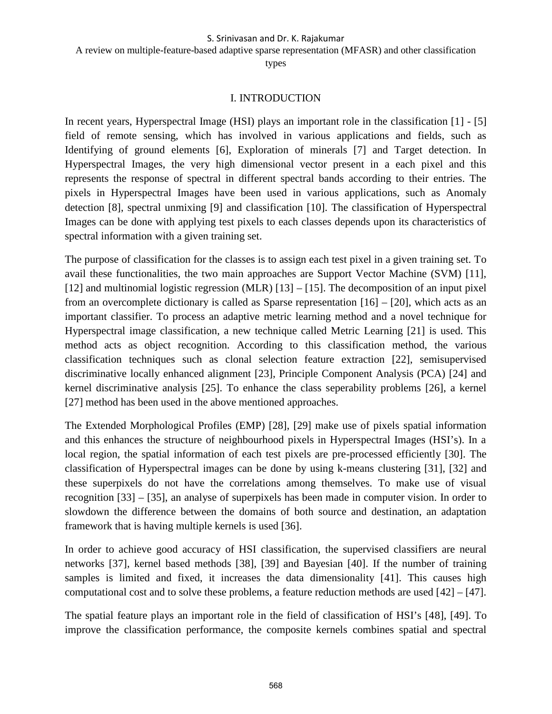A review on multiple-feature-based adaptive sparse representation (MFASR) and other classification

types

# I. INTRODUCTION

In recent years, Hyperspectral Image (HSI) plays an important role in the classification [1] - [5] field of remote sensing, which has involved in various applications and fields, such as Identifying of ground elements [6], Exploration of minerals [7] and Target detection. In Hyperspectral Images, the very high dimensional vector present in a each pixel and this represents the response of spectral in different spectral bands according to their entries. The pixels in Hyperspectral Images have been used in various applications, such as Anomaly detection [8], spectral unmixing [9] and classification [10]. The classification of Hyperspectral Images can be done with applying test pixels to each classes depends upon its characteristics of spectral information with a given training set.

The purpose of classification for the classes is to assign each test pixel in a given training set. To avail these functionalities, the two main approaches are Support Vector Machine (SVM) [11], [12] and multinomial logistic regression (MLR) [13] – [15]. The decomposition of an input pixel from an overcomplete dictionary is called as Sparse representation [16] – [20], which acts as an important classifier. To process an adaptive metric learning method and a novel technique for Hyperspectral image classification, a new technique called Metric Learning [21] is used. This method acts as object recognition. According to this classification method, the various classification techniques such as clonal selection feature extraction [22], semisupervised discriminative locally enhanced alignment [23], Principle Component Analysis (PCA) [24] and kernel discriminative analysis [25]. To enhance the class seperability problems [26], a kernel [27] method has been used in the above mentioned approaches.

The Extended Morphological Profiles (EMP) [28], [29] make use of pixels spatial information and this enhances the structure of neighbourhood pixels in Hyperspectral Images (HSI's). In a local region, the spatial information of each test pixels are pre-processed efficiently [30]. The classification of Hyperspectral images can be done by using k-means clustering [31], [32] and these superpixels do not have the correlations among themselves. To make use of visual recognition [33] – [35], an analyse of superpixels has been made in computer vision. In order to slowdown the difference between the domains of both source and destination, an adaptation framework that is having multiple kernels is used [36].

In order to achieve good accuracy of HSI classification, the supervised classifiers are neural networks [37], kernel based methods [38], [39] and Bayesian [40]. If the number of training samples is limited and fixed, it increases the data dimensionality [41]. This causes high computational cost and to solve these problems, a feature reduction methods are used [42] – [47].

The spatial feature plays an important role in the field of classification of HSI's [48], [49]. To improve the classification performance, the composite kernels combines spatial and spectral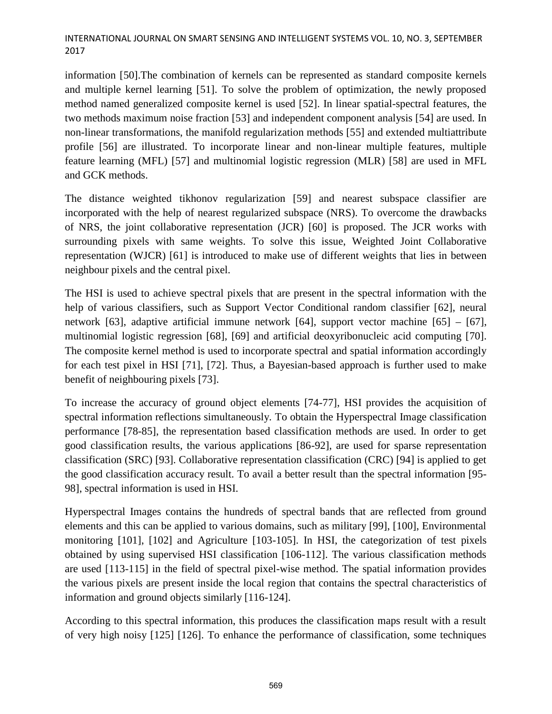information [50].The combination of kernels can be represented as standard composite kernels and multiple kernel learning [51]. To solve the problem of optimization, the newly proposed method named generalized composite kernel is used [52]. In linear spatial-spectral features, the two methods maximum noise fraction [53] and independent component analysis [54] are used. In non-linear transformations, the manifold regularization methods [55] and extended multiattribute profile [56] are illustrated. To incorporate linear and non-linear multiple features, multiple feature learning (MFL) [57] and multinomial logistic regression (MLR) [58] are used in MFL and GCK methods.

The distance weighted tikhonov regularization [59] and nearest subspace classifier are incorporated with the help of nearest regularized subspace (NRS). To overcome the drawbacks of NRS, the joint collaborative representation (JCR) [60] is proposed. The JCR works with surrounding pixels with same weights. To solve this issue, Weighted Joint Collaborative representation (WJCR) [61] is introduced to make use of different weights that lies in between neighbour pixels and the central pixel.

The HSI is used to achieve spectral pixels that are present in the spectral information with the help of various classifiers, such as Support Vector Conditional random classifier [62], neural network [63], adaptive artificial immune network [64], support vector machine [65] – [67], multinomial logistic regression [68], [69] and artificial deoxyribonucleic acid computing [70]. The composite kernel method is used to incorporate spectral and spatial information accordingly for each test pixel in HSI [71], [72]. Thus, a Bayesian-based approach is further used to make benefit of neighbouring pixels [73].

To increase the accuracy of ground object elements [74-77], HSI provides the acquisition of spectral information reflections simultaneously. To obtain the Hyperspectral Image classification performance [78-85], the representation based classification methods are used. In order to get good classification results, the various applications [86-92], are used for sparse representation classification (SRC) [93]. Collaborative representation classification (CRC) [94] is applied to get the good classification accuracy result. To avail a better result than the spectral information [95- 98], spectral information is used in HSI.

Hyperspectral Images contains the hundreds of spectral bands that are reflected from ground elements and this can be applied to various domains, such as military [99], [100], Environmental monitoring [101], [102] and Agriculture [103-105]. In HSI, the categorization of test pixels obtained by using supervised HSI classification [106-112]. The various classification methods are used [113-115] in the field of spectral pixel-wise method. The spatial information provides the various pixels are present inside the local region that contains the spectral characteristics of information and ground objects similarly [116-124].

According to this spectral information, this produces the classification maps result with a result of very high noisy [125] [126]. To enhance the performance of classification, some techniques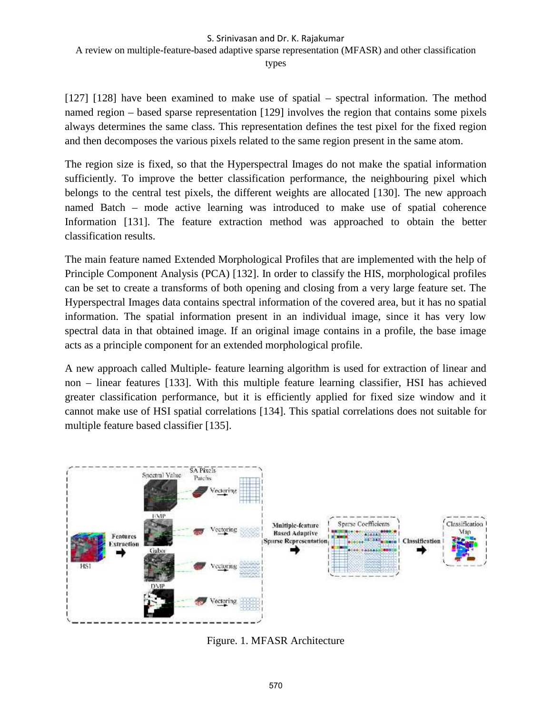A review on multiple-feature-based adaptive sparse representation (MFASR) and other classification

types

[127] [128] have been examined to make use of spatial – spectral information. The method named region – based sparse representation [129] involves the region that contains some pixels always determines the same class. This representation defines the test pixel for the fixed region and then decomposes the various pixels related to the same region present in the same atom.

The region size is fixed, so that the Hyperspectral Images do not make the spatial information sufficiently. To improve the better classification performance, the neighbouring pixel which belongs to the central test pixels, the different weights are allocated [130]. The new approach named Batch – mode active learning was introduced to make use of spatial coherence Information [131]. The feature extraction method was approached to obtain the better classification results.

The main feature named Extended Morphological Profiles that are implemented with the help of Principle Component Analysis (PCA) [132]. In order to classify the HIS, morphological profiles can be set to create a transforms of both opening and closing from a very large feature set. The Hyperspectral Images data contains spectral information of the covered area, but it has no spatial information. The spatial information present in an individual image, since it has very low spectral data in that obtained image. If an original image contains in a profile, the base image acts as a principle component for an extended morphological profile.

A new approach called Multiple- feature learning algorithm is used for extraction of linear and non – linear features [133]. With this multiple feature learning classifier, HSI has achieved greater classification performance, but it is efficiently applied for fixed size window and it cannot make use of HSI spatial correlations [134]. This spatial correlations does not suitable for multiple feature based classifier [135].



Figure. 1. MFASR Architecture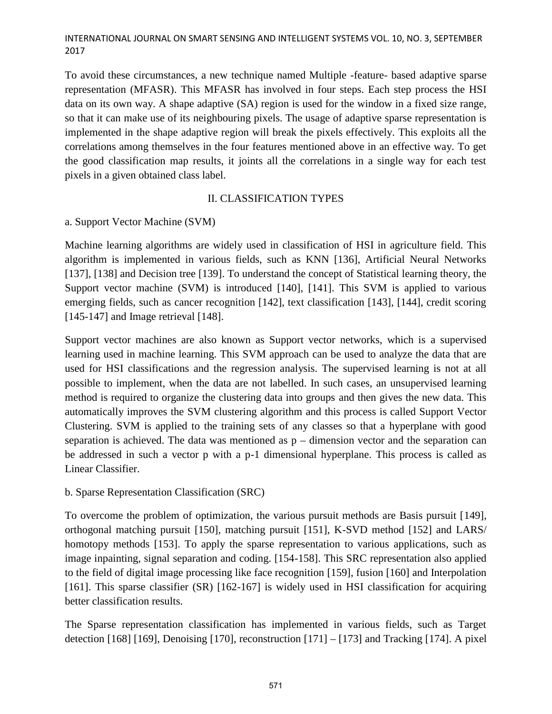To avoid these circumstances, a new technique named Multiple -feature- based adaptive sparse representation (MFASR). This MFASR has involved in four steps. Each step process the HSI data on its own way. A shape adaptive (SA) region is used for the window in a fixed size range, so that it can make use of its neighbouring pixels. The usage of adaptive sparse representation is implemented in the shape adaptive region will break the pixels effectively. This exploits all the correlations among themselves in the four features mentioned above in an effective way. To get the good classification map results, it joints all the correlations in a single way for each test pixels in a given obtained class label.

# II. CLASSIFICATION TYPES

# a. Support Vector Machine (SVM)

Machine learning algorithms are widely used in classification of HSI in agriculture field. This algorithm is implemented in various fields, such as KNN [136], Artificial Neural Networks [137], [138] and Decision tree [139]. To understand the concept of Statistical learning theory, the Support vector machine (SVM) is introduced [140], [141]. This SVM is applied to various emerging fields, such as cancer recognition [142], text classification [143], [144], credit scoring [145-147] and Image retrieval [148].

Support vector machines are also known as Support vector networks, which is a supervised learning used in machine learning. This SVM approach can be used to analyze the data that are used for HSI classifications and the regression analysis. The supervised learning is not at all possible to implement, when the data are not labelled. In such cases, an unsupervised learning method is required to organize the clustering data into groups and then gives the new data. This automatically improves the SVM clustering algorithm and this process is called Support Vector Clustering. SVM is applied to the training sets of any classes so that a hyperplane with good separation is achieved. The data was mentioned as  $p -$  dimension vector and the separation can be addressed in such a vector p with a p-1 dimensional hyperplane. This process is called as Linear Classifier.

# b. Sparse Representation Classification (SRC)

To overcome the problem of optimization, the various pursuit methods are Basis pursuit [149], orthogonal matching pursuit [150], matching pursuit [151], K-SVD method [152] and LARS/ homotopy methods [153]. To apply the sparse representation to various applications, such as image inpainting, signal separation and coding. [154-158]. This SRC representation also applied to the field of digital image processing like face recognition [159], fusion [160] and Interpolation [161]. This sparse classifier (SR) [162-167] is widely used in HSI classification for acquiring better classification results.

The Sparse representation classification has implemented in various fields, such as Target detection [168] [169], Denoising [170], reconstruction [171] – [173] and Tracking [174]. A pixel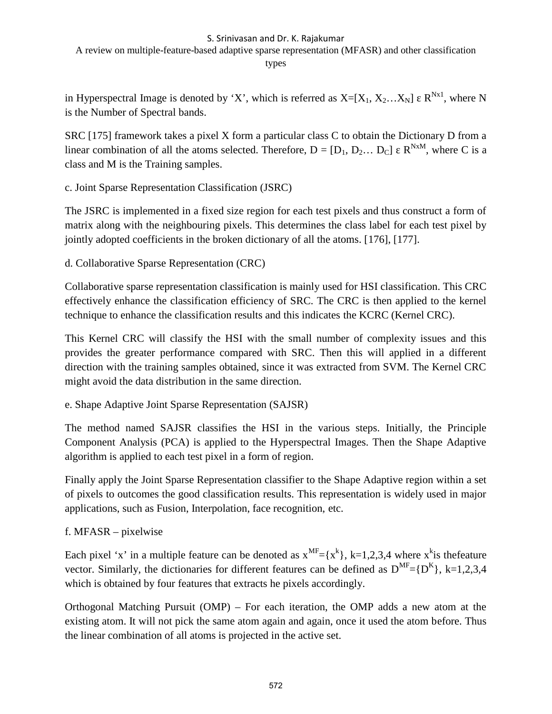A review on multiple-feature-based adaptive sparse representation (MFASR) and other classification

types

in Hyperspectral Image is denoted by 'X', which is referred as  $X=[X_1, X_2...X_N]$   $\mathbb{R}^{N \times 1}$ , where N is the Number of Spectral bands.

SRC [175] framework takes a pixel X form a particular class C to obtain the Dictionary D from a linear combination of all the atoms selected. Therefore,  $D = [D_1, D_2... D_C]$   $R^{NxM}$ , where C is a class and M is the Training samples.

c. Joint Sparse Representation Classification (JSRC)

The JSRC is implemented in a fixed size region for each test pixels and thus construct a form of matrix along with the neighbouring pixels. This determines the class label for each test pixel by jointly adopted coefficients in the broken dictionary of all the atoms. [176], [177].

d. Collaborative Sparse Representation (CRC)

Collaborative sparse representation classification is mainly used for HSI classification. This CRC effectively enhance the classification efficiency of SRC. The CRC is then applied to the kernel technique to enhance the classification results and this indicates the KCRC (Kernel CRC).

This Kernel CRC will classify the HSI with the small number of complexity issues and this provides the greater performance compared with SRC. Then this will applied in a different direction with the training samples obtained, since it was extracted from SVM. The Kernel CRC might avoid the data distribution in the same direction.

e. Shape Adaptive Joint Sparse Representation (SAJSR)

The method named SAJSR classifies the HSI in the various steps. Initially, the Principle Component Analysis (PCA) is applied to the Hyperspectral Images. Then the Shape Adaptive algorithm is applied to each test pixel in a form of region.

Finally apply the Joint Sparse Representation classifier to the Shape Adaptive region within a set of pixels to outcomes the good classification results. This representation is widely used in major applications, such as Fusion, Interpolation, face recognition, etc.

f. MFASR – pixelwise

Each pixel 'x' in a multiple feature can be denoted as  $x^{MF} = {x^k}$ , k=1,2,3,4 where  $x^k$  is the feature vector. Similarly, the dictionaries for different features can be defined as  $D^{MF}=[D^{K}]$ , k=1,2,3,4 which is obtained by four features that extracts he pixels accordingly.

Orthogonal Matching Pursuit (OMP) – For each iteration, the OMP adds a new atom at the existing atom. It will not pick the same atom again and again, once it used the atom before. Thus the linear combination of all atoms is projected in the active set.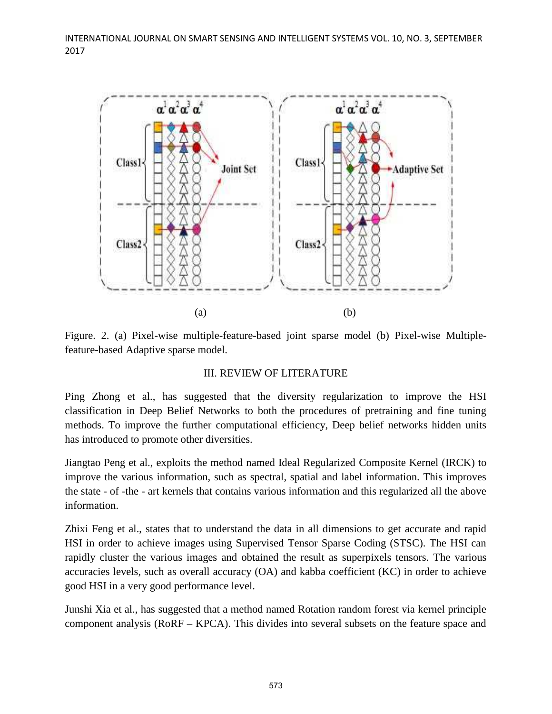

Figure. 2. (a) Pixel-wise multiple-feature-based joint sparse model (b) Pixel-wise Multiplefeature-based Adaptive sparse model.

# III. REVIEW OF LITERATURE

Ping Zhong et al., has suggested that the diversity regularization to improve the HSI classification in Deep Belief Networks to both the procedures of pretraining and fine tuning methods. To improve the further computational efficiency, Deep belief networks hidden units has introduced to promote other diversities.

Jiangtao Peng et al., exploits the method named Ideal Regularized Composite Kernel (IRCK) to improve the various information, such as spectral, spatial and label information. This improves the state - of -the - art kernels that contains various information and this regularized all the above information.

Zhixi Feng et al., states that to understand the data in all dimensions to get accurate and rapid HSI in order to achieve images using Supervised Tensor Sparse Coding (STSC). The HSI can rapidly cluster the various images and obtained the result as superpixels tensors. The various accuracies levels, such as overall accuracy (OA) and kabba coefficient (KC) in order to achieve good HSI in a very good performance level.

Junshi Xia et al., has suggested that a method named Rotation random forest via kernel principle component analysis (RoRF – KPCA). This divides into several subsets on the feature space and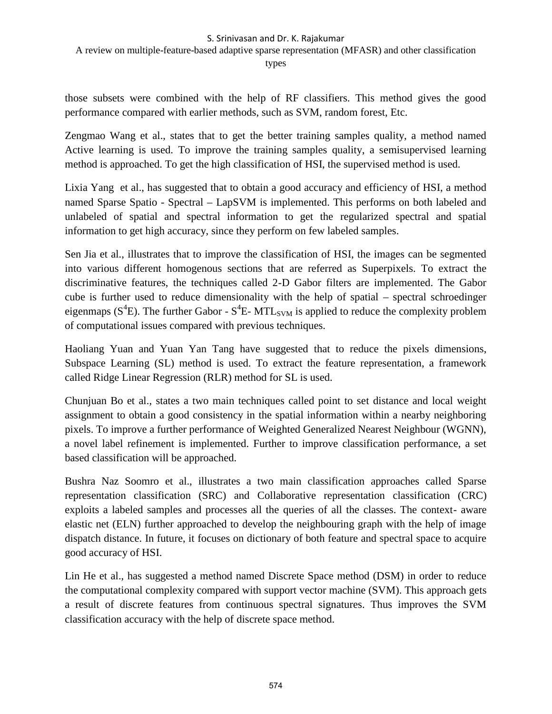A review on multiple-feature-based adaptive sparse representation (MFASR) and other classification

types

those subsets were combined with the help of RF classifiers. This method gives the good performance compared with earlier methods, such as SVM, random forest, Etc.

Zengmao Wang et al., states that to get the better training samples quality, a method named Active learning is used. To improve the training samples quality, a semisupervised learning method is approached. To get the high classification of HSI, the supervised method is used.

Lixia Yang et al., has suggested that to obtain a good accuracy and efficiency of HSI, a method named Sparse Spatio - Spectral – LapSVM is implemented. This performs on both labeled and unlabeled of spatial and spectral information to get the regularized spectral and spatial information to get high accuracy, since they perform on few labeled samples.

Sen Jia et al., illustrates that to improve the classification of HSI, the images can be segmented into various different homogenous sections that are referred as Superpixels. To extract the discriminative features, the techniques called 2-D Gabor filters are implemented. The Gabor cube is further used to reduce dimensionality with the help of spatial – spectral schroedinger eigenmaps (S<sup>4</sup>E). The further Gabor - S<sup>4</sup>E-MTL<sub>SVM</sub> is applied to reduce the complexity problem of computational issues compared with previous techniques.

Haoliang Yuan and Yuan Yan Tang have suggested that to reduce the pixels dimensions, Subspace Learning (SL) method is used. To extract the feature representation, a framework called Ridge Linear Regression (RLR) method for SL is used.

Chunjuan Bo et al., states a two main techniques called point to set distance and local weight assignment to obtain a good consistency in the spatial information within a nearby neighboring pixels. To improve a further performance of Weighted Generalized Nearest Neighbour (WGNN), a novel label refinement is implemented. Further to improve classification performance, a set based classification will be approached.

Bushra Naz Soomro et al., illustrates a two main classification approaches called Sparse representation classification (SRC) and Collaborative representation classification (CRC) exploits a labeled samples and processes all the queries of all the classes. The context- aware elastic net (ELN) further approached to develop the neighbouring graph with the help of image dispatch distance. In future, it focuses on dictionary of both feature and spectral space to acquire good accuracy of HSI.

Lin He et al., has suggested a method named Discrete Space method (DSM) in order to reduce the computational complexity compared with support vector machine (SVM). This approach gets a result of discrete features from continuous spectral signatures. Thus improves the SVM classification accuracy with the help of discrete space method.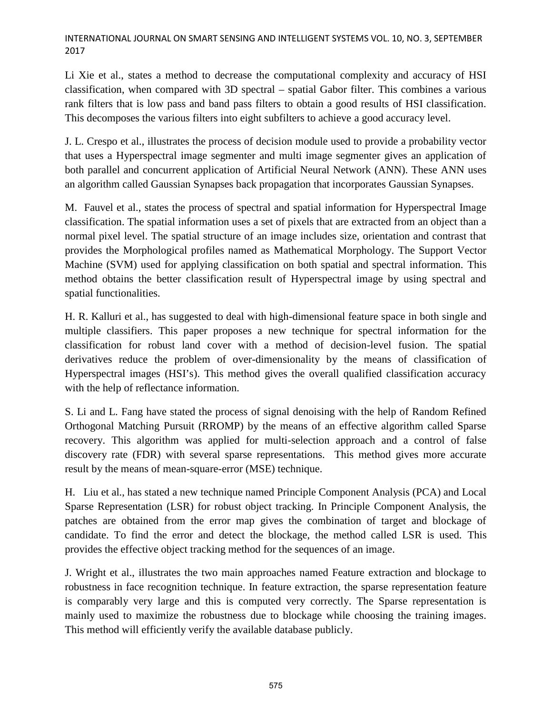Li Xie et al., states a method to decrease the computational complexity and accuracy of HSI classification, when compared with 3D spectral – spatial Gabor filter. This combines a various rank filters that is low pass and band pass filters to obtain a good results of HSI classification. This decomposes the various filters into eight subfilters to achieve a good accuracy level.

J. L. Crespo et al., illustrates the process of decision module used to provide a probability vector that uses a Hyperspectral image segmenter and multi image segmenter gives an application of both parallel and concurrent application of Artificial Neural Network (ANN). These ANN uses an algorithm called Gaussian Synapses back propagation that incorporates Gaussian Synapses.

M. Fauvel et al., states the process of spectral and spatial information for Hyperspectral Image classification. The spatial information uses a set of pixels that are extracted from an object than a normal pixel level. The spatial structure of an image includes size, orientation and contrast that provides the Morphological profiles named as Mathematical Morphology. The Support Vector Machine (SVM) used for applying classification on both spatial and spectral information. This method obtains the better classification result of Hyperspectral image by using spectral and spatial functionalities.

H. R. Kalluri et al., has suggested to deal with high-dimensional feature space in both single and multiple classifiers. This paper proposes a new technique for spectral information for the classification for robust land cover with a method of decision-level fusion. The spatial derivatives reduce the problem of over-dimensionality by the means of classification of Hyperspectral images (HSI's). This method gives the overall qualified classification accuracy with the help of reflectance information.

S. Li and L. Fang have stated the process of signal denoising with the help of Random Refined Orthogonal Matching Pursuit (RROMP) by the means of an effective algorithm called Sparse recovery. This algorithm was applied for multi-selection approach and a control of false discovery rate (FDR) with several sparse representations. This method gives more accurate result by the means of mean-square-error (MSE) technique.

H. Liu et al., has stated a new technique named Principle Component Analysis (PCA) and Local Sparse Representation (LSR) for robust object tracking. In Principle Component Analysis, the patches are obtained from the error map gives the combination of target and blockage of candidate. To find the error and detect the blockage, the method called LSR is used. This provides the effective object tracking method for the sequences of an image.

J. Wright et al., illustrates the two main approaches named Feature extraction and blockage to robustness in face recognition technique. In feature extraction, the sparse representation feature is comparably very large and this is computed very correctly. The Sparse representation is mainly used to maximize the robustness due to blockage while choosing the training images. This method will efficiently verify the available database publicly.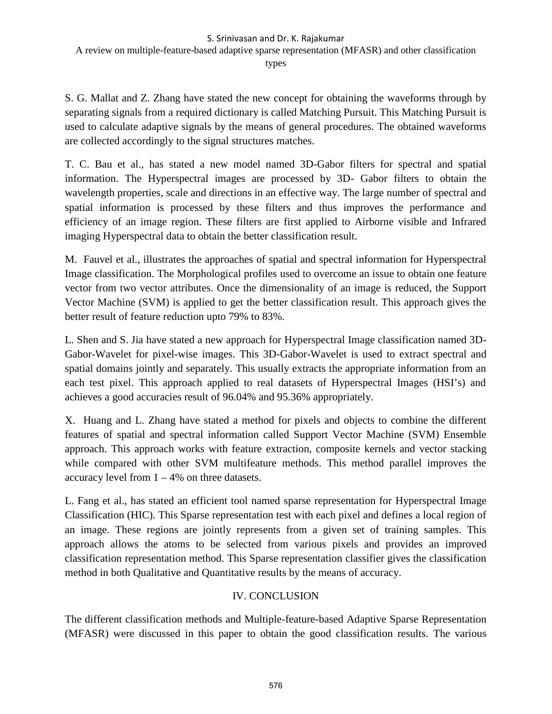# A review on multiple-feature-based adaptive sparse representation (MFASR) and other classification

types

S. G. Mallat and Z. Zhang have stated the new concept for obtaining the waveforms through by separating signals from a required dictionary is called Matching Pursuit. This Matching Pursuit is used to calculate adaptive signals by the means of general procedures. The obtained waveforms are collected accordingly to the signal structures matches.

T. C. Bau et al., has stated a new model named 3D-Gabor filters for spectral and spatial information. The Hyperspectral images are processed by 3D- Gabor filters to obtain the wavelength properties, scale and directions in an effective way. The large number of spectral and spatial information is processed by these filters and thus improves the performance and efficiency of an image region. These filters are first applied to Airborne visible and Infrared imaging Hyperspectral data to obtain the better classification result.

M. Fauvel et al., illustrates the approaches of spatial and spectral information for Hyperspectral Image classification. The Morphological profiles used to overcome an issue to obtain one feature vector from two vector attributes. Once the dimensionality of an image is reduced, the Support Vector Machine (SVM) is applied to get the better classification result. This approach gives the better result of feature reduction upto 79% to 83%.

L. Shen and S. Jia have stated a new approach for Hyperspectral Image classification named 3D- Gabor-Wavelet for pixel-wise images. This 3D-Gabor-Wavelet is used to extract spectral and spatial domains jointly and separately. This usually extracts the appropriate information from an each test pixel. This approach applied to real datasets of Hyperspectral Images (HSI's) and achieves a good accuracies result of 96.04% and 95.36% appropriately.

X. Huang and L. Zhang have stated a method for pixels and objects to combine the different features of spatial and spectral information called Support Vector Machine (SVM) Ensemble approach. This approach works with feature extraction, composite kernels and vector stacking while compared with other SVM multifeature methods. This method parallel improves the accuracy level from  $1 - 4\%$  on three datasets.

L. Fang et al., has stated an efficient tool named sparse representation for Hyperspectral Image Classification (HIC). This Sparse representation test with each pixel and defines a local region of an image. These regions are jointly represents from a given set of training samples. This approach allows the atoms to be selected from various pixels and provides an improved classification representation method. This Sparse representation classifier gives the classification method in both Qualitative and Quantitative results by the means of accuracy.

# IV. CONCLUSION

The different classification methods and Multiple-feature-based Adaptive Sparse Representation (MFASR) were discussed in this paper to obtain the good classification results. The various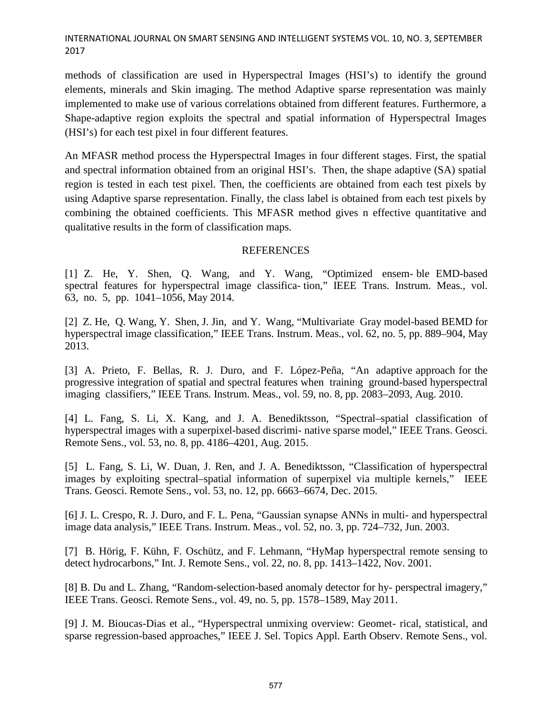methods of classification are used in Hyperspectral Images (HSI's) to identify the ground elements, minerals and Skin imaging. The method Adaptive sparse representation was mainly implemented to make use of various correlations obtained from different features. Furthermore, a Shape-adaptive region exploits the spectral and spatial information of Hyperspectral Images (HSI's) for each test pixel in four different features.

An MFASR method process the Hyperspectral Images in four different stages. First, the spatial and spectral information obtained from an original HSI's. Then, the shape adaptive (SA) spatial region is tested in each test pixel. Then, the coefficients are obtained from each test pixels by using Adaptive sparse representation. Finally, the class label is obtained from each test pixels by combining the obtained coefficients. This MFASR method gives n effective quantitative and qualitative results in the form of classification maps.

### REFERENCES

[1] Z. He, Y. Shen, Q. Wang, and Y. Wang, "Optimized ensem- ble EMD-based spectral features for hyperspectral image classifica- tion," IEEE Trans. Instrum. Meas., vol. 63, no. 5, pp. 1041–1056, May 2014.

[2] Z. He, Q. Wang, Y. Shen, J. Jin, and Y. Wang, "Multivariate Gray model-based BEMD for hyperspectral image classification," IEEE Trans. Instrum. Meas., vol. 62, no. 5, pp. 889–904, May 2013.

[3] A. Prieto, F. Bellas, R. J. Duro, and F. López-Peña, "An adaptive approach for the progressive integration of spatial and spectral features when training ground-based hyperspectral imaging classifiers," IEEE Trans. Instrum. Meas., vol. 59, no. 8, pp. 2083–2093, Aug. 2010.

[4] L. Fang, S. Li, X. Kang, and J. A. Benediktsson, "Spectral–spatial classification of hyperspectral images with a superpixel-based discrimi- native sparse model," IEEE Trans. Geosci. Remote Sens., vol. 53, no. 8, pp. 4186–4201, Aug. 2015.

[5] L. Fang, S. Li, W. Duan, J. Ren, and J. A. Benediktsson, "Classification of hyperspectral images by exploiting spectral–spatial information of superpixel via multiple kernels," IEEE Trans. Geosci. Remote Sens., vol. 53, no. 12, pp. 6663–6674, Dec. 2015.

[6] J. L. Crespo, R. J. Duro, and F. L. Pena, "Gaussian synapse ANNs in multi- and hyperspectral image data analysis," IEEE Trans. Instrum. Meas., vol. 52, no. 3, pp. 724–732, Jun. 2003.

[7] B. Hörig, F. Kühn, F. Oschütz, and F. Lehmann, "HyMap hyperspectral remote sensing to detect hydrocarbons," Int. J. Remote Sens., vol. 22, no. 8, pp. 1413–1422, Nov. 2001.

[8] B. Du and L. Zhang, "Random-selection-based anomaly detector for hy- perspectral imagery," IEEE Trans. Geosci. Remote Sens., vol. 49, no. 5, pp. 1578–1589, May 2011.

[9] J. M. Bioucas-Dias et al., "Hyperspectral unmixing overview: Geomet- rical, statistical, and sparse regression-based approaches," IEEE J. Sel. Topics Appl. Earth Observ. Remote Sens., vol.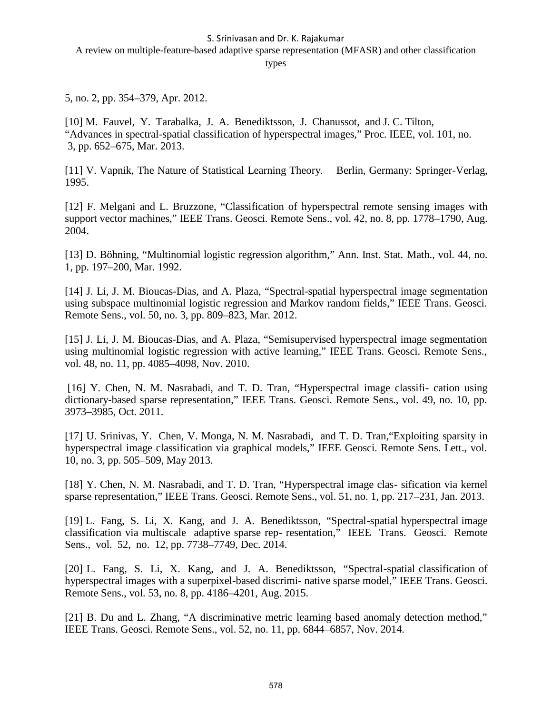A review on multiple-feature-based adaptive sparse representation (MFASR) and other classification

types

5, no. 2, pp. 354–379, Apr. 2012.

[10] M. Fauvel, Y. Tarabalka, J. A. Benediktsson, J. Chanussot, and J. C. Tilton, "Advances in spectral-spatial classification of hyperspectral images," Proc. IEEE, vol. 101, no. 3, pp. 652–675, Mar. 2013.

[11] V. Vapnik, The Nature of Statistical Learning Theory. Berlin, Germany: Springer-Verlag, 1995.

[12] F. Melgani and L. Bruzzone, "Classification of hyperspectral remote sensing images with support vector machines," IEEE Trans. Geosci. Remote Sens., vol. 42, no. 8, pp. 1778–1790, Aug. 2004.

[13] D. Böhning, "Multinomial logistic regression algorithm," Ann. Inst. Stat. Math., vol. 44, no. 1, pp. 197–200, Mar. 1992.

[14] J. Li, J. M. Bioucas-Dias, and A. Plaza, "Spectral-spatial hyperspectral image segmentation using subspace multinomial logistic regression and Markov random fields," IEEE Trans. Geosci. Remote Sens., vol. 50, no. 3, pp. 809–823, Mar. 2012.

[15] J. Li, J. M. Bioucas-Dias, and A. Plaza, "Semisupervised hyperspectral image segmentation using multinomial logistic regression with active learning," IEEE Trans. Geosci. Remote Sens., vol. 48, no. 11, pp. 4085–4098, Nov. 2010.

[16] Y. Chen, N. M. Nasrabadi, and T. D. Tran, "Hyperspectral image classifi- cation using dictionary-based sparse representation," IEEE Trans. Geosci. Remote Sens., vol. 49, no. 10, pp. 3973–3985, Oct. 2011.

[17] U. Srinivas, Y. Chen, V. Monga, N. M. Nasrabadi, and T. D. Tran,"Exploiting sparsity in hyperspectral image classification via graphical models," IEEE Geosci. Remote Sens. Lett., vol. 10, no. 3, pp. 505–509, May 2013.

[18] Y. Chen, N. M. Nasrabadi, and T. D. Tran, "Hyperspectral image clas- sification via kernel sparse representation," IEEE Trans. Geosci. Remote Sens., vol. 51, no. 1, pp. 217–231, Jan. 2013.

[19] L. Fang, S. Li, X. Kang, and J. A. Benediktsson, "Spectral-spatial hyperspectral image classification via multiscale adaptive sparse rep- resentation," IEEE Trans. Geosci. Remote Sens., vol. 52, no. 12, pp. 7738–7749, Dec. 2014.

[20] L. Fang, S. Li, X. Kang, and J. A. Benediktsson, "Spectral-spatial classification of hyperspectral images with a superpixel-based discrimi- native sparse model," IEEE Trans. Geosci. Remote Sens., vol. 53, no. 8, pp. 4186–4201, Aug. 2015.

[21] B. Du and L. Zhang, "A discriminative metric learning based anomaly detection method," IEEE Trans. Geosci. Remote Sens., vol. 52, no. 11, pp. 6844–6857, Nov. 2014.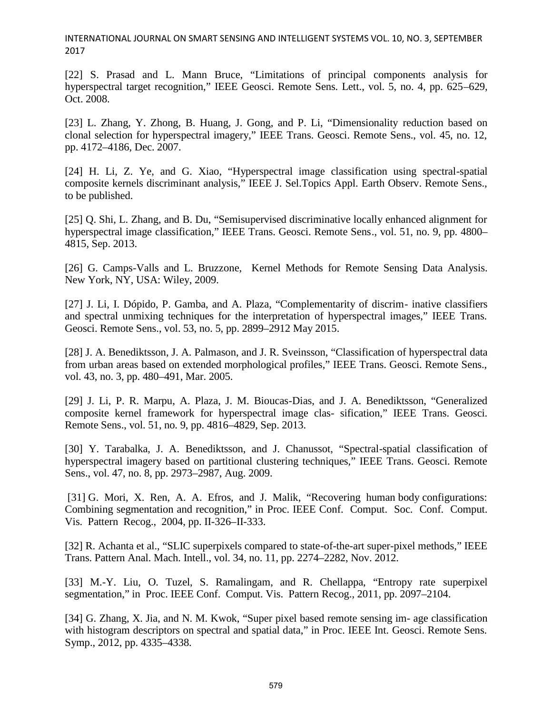[22] S. Prasad and L. Mann Bruce, "Limitations of principal components analysis for hyperspectral target recognition," IEEE Geosci. Remote Sens. Lett., vol. 5, no. 4, pp. 625–629, Oct. 2008.

[23] L. Zhang, Y. Zhong, B. Huang, J. Gong, and P. Li, "Dimensionality reduction based on clonal selection for hyperspectral imagery," IEEE Trans. Geosci. Remote Sens., vol. 45, no. 12, pp. 4172–4186, Dec. 2007.

[24] H. Li, Z. Ye, and G. Xiao, "Hyperspectral image classification using spectral-spatial composite kernels discriminant analysis," IEEE J. Sel.Topics Appl. Earth Observ. Remote Sens., to be published.

[25] Q. Shi, L. Zhang, and B. Du, "Semisupervised discriminative locally enhanced alignment for hyperspectral image classification," IEEE Trans. Geosci. Remote Sens., vol. 51, no. 9, pp. 4800– 4815, Sep. 2013.

[26] G. Camps-Valls and L. Bruzzone, Kernel Methods for Remote Sensing Data Analysis. New York, NY, USA: Wiley, 2009.

[27] J. Li, I. Dópido, P. Gamba, and A. Plaza, "Complementarity of discrim- inative classifiers and spectral unmixing techniques for the interpretation of hyperspectral images," IEEE Trans. Geosci. Remote Sens., vol. 53, no. 5, pp. 2899–2912 May 2015.

[28] J. A. Benediktsson, J. A. Palmason, and J. R. Sveinsson, "Classification of hyperspectral data from urban areas based on extended morphological profiles," IEEE Trans. Geosci. Remote Sens., vol. 43, no. 3, pp. 480–491, Mar. 2005.

[29] J. Li, P. R. Marpu, A. Plaza, J. M. Bioucas-Dias, and J. A. Benediktsson, "Generalized composite kernel framework for hyperspectral image clas- sification," IEEE Trans. Geosci. Remote Sens., vol. 51, no. 9, pp. 4816–4829, Sep. 2013.

[30] Y. Tarabalka, J. A. Benediktsson, and J. Chanussot, "Spectral-spatial classification of hyperspectral imagery based on partitional clustering techniques," IEEE Trans. Geosci. Remote Sens., vol. 47, no. 8, pp. 2973–2987, Aug. 2009.

[31] G. Mori, X. Ren, A. A. Efros, and J. Malik, "Recovering human body configurations: Combining segmentation and recognition," in Proc. IEEE Conf. Comput. Soc. Conf. Comput. Vis. Pattern Recog., 2004, pp. II-326–II-333.

[32] R. Achanta et al., "SLIC superpixels compared to state-of-the-art super-pixel methods," IEEE Trans. Pattern Anal. Mach. Intell., vol. 34, no. 11, pp. 2274–2282, Nov. 2012.

[33] M.-Y. Liu, O. Tuzel, S. Ramalingam, and R. Chellappa, "Entropy rate superpixel segmentation," in Proc. IEEE Conf. Comput. Vis. Pattern Recog., 2011, pp. 2097–2104.

[34] G. Zhang, X. Jia, and N. M. Kwok, "Super pixel based remote sensing im- age classification with histogram descriptors on spectral and spatial data," in Proc. IEEE Int. Geosci. Remote Sens. Symp., 2012, pp. 4335–4338.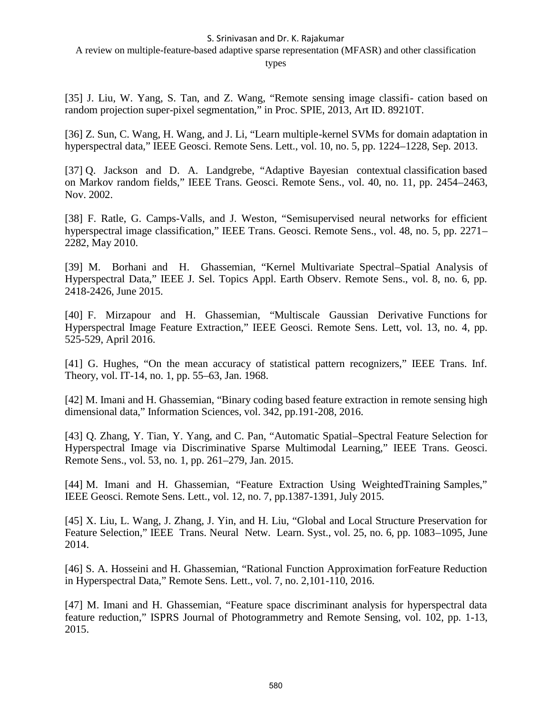A review on multiple-feature-based adaptive sparse representation (MFASR) and other classification

types

[35] J. Liu, W. Yang, S. Tan, and Z. Wang, "Remote sensing image classifi- cation based on random projection super-pixel segmentation," in Proc. SPIE, 2013, Art ID. 89210T.

[36] Z. Sun, C. Wang, H. Wang, and J. Li, "Learn multiple-kernel SVMs for domain adaptation in hyperspectral data," IEEE Geosci. Remote Sens. Lett., vol. 10, no. 5, pp. 1224–1228, Sep. 2013.

[37] Q. Jackson and D. A. Landgrebe, "Adaptive Bayesian contextual classification based on Markov random fields," IEEE Trans. Geosci. Remote Sens., vol. 40, no. 11, pp. 2454–2463, Nov. 2002.

[38] F. Ratle, G. Camps-Valls, and J. Weston, "Semisupervised neural networks for efficient hyperspectral image classification," IEEE Trans. Geosci. Remote Sens., vol. 48, no. 5, pp. 2271– 2282, May 2010.

[39] M. Borhani and H. Ghassemian, "Kernel Multivariate Spectral–Spatial Analysis of Hyperspectral Data," IEEE J. Sel. Topics Appl. Earth Observ. Remote Sens., vol. 8, no. 6, pp. 2418-2426, June 2015.

[40] F. Mirzapour and H. Ghassemian, "Multiscale Gaussian Derivative Functions for Hyperspectral Image Feature Extraction," IEEE Geosci. Remote Sens. Lett, vol. 13, no. 4, pp. 525-529, April 2016.

[41] G. Hughes, "On the mean accuracy of statistical pattern recognizers," IEEE Trans. Inf. Theory, vol. IT-14, no. 1, pp. 55–63, Jan. 1968.

[42] M. Imani and H. Ghassemian, "Binary coding based feature extraction in remote sensing high dimensional data," Information Sciences, vol. 342, pp.191-208, 2016.

[43] Q. Zhang, Y. Tian, Y. Yang, and C. Pan, "Automatic Spatial–Spectral Feature Selection for Hyperspectral Image via Discriminative Sparse Multimodal Learning," IEEE Trans. Geosci. Remote Sens., vol. 53, no. 1, pp. 261–279, Jan. 2015.

[44] M. Imani and H. Ghassemian, "Feature Extraction Using WeightedTraining Samples," IEEE Geosci. Remote Sens. Lett., vol. 12, no. 7, pp.1387-1391, July 2015.

[45] X. Liu, L. Wang, J. Zhang, J. Yin, and H. Liu, "Global and Local Structure Preservation for Feature Selection," IEEE Trans. Neural Netw. Learn. Syst., vol. 25, no. 6, pp. 1083–1095, June 2014.

[46] S. A. Hosseini and H. Ghassemian, "Rational Function Approximation forFeature Reduction in Hyperspectral Data," Remote Sens. Lett., vol. 7, no. 2,101-110, 2016.

[47] M. Imani and H. Ghassemian, "Feature space discriminant analysis for hyperspectral data feature reduction," ISPRS Journal of Photogrammetry and Remote Sensing, vol. 102, pp. 1-13, 2015.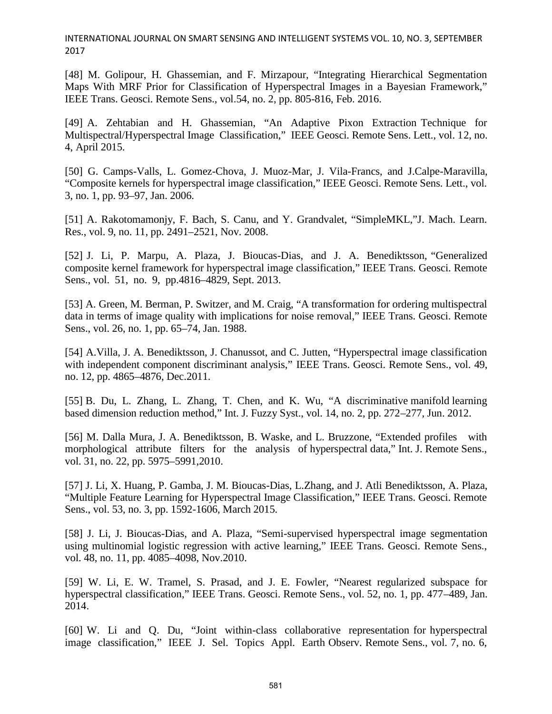[48] M. Golipour, H. Ghassemian, and F. Mirzapour, "Integrating Hierarchical Segmentation Maps With MRF Prior for Classification of Hyperspectral Images in a Bayesian Framework," IEEE Trans. Geosci. Remote Sens., vol.54, no. 2, pp. 805-816, Feb. 2016.

[49] A. Zehtabian and H. Ghassemian, "An Adaptive Pixon Extraction Technique for Multispectral/Hyperspectral Image Classification," IEEE Geosci. Remote Sens. Lett., vol. 12, no. 4, April 2015.

[50] G. Camps-Valls, L. Gomez-Chova, J. Muoz-Mar, J. Vila-Francs, and J.Calpe-Maravilla, "Composite kernels for hyperspectral image classification," IEEE Geosci. Remote Sens. Lett., vol. 3, no. 1, pp. 93–97, Jan. 2006.

[51] A. Rakotomamonjy, F. Bach, S. Canu, and Y. Grandvalet, "SimpleMKL,"J. Mach. Learn. Res., vol. 9, no. 11, pp. 2491–2521, Nov. 2008.

[52] J. Li, P. Marpu, A. Plaza, J. Bioucas-Dias, and J. A. Benediktsson, "Generalized composite kernel framework for hyperspectral image classification," IEEE Trans. Geosci. Remote Sens., vol. 51, no. 9, pp.4816–4829, Sept. 2013.

[53] A. Green, M. Berman, P. Switzer, and M. Craig, "A transformation for ordering multispectral data in terms of image quality with implications for noise removal," IEEE Trans. Geosci. Remote Sens., vol. 26, no. 1, pp. 65–74, Jan. 1988.

[54] A.Villa, J. A. Benediktsson, J. Chanussot, and C. Jutten, "Hyperspectral image classification with independent component discriminant analysis," IEEE Trans. Geosci. Remote Sens., vol. 49, no. 12, pp. 4865–4876, Dec.2011.

[55] B. Du, L. Zhang, L. Zhang, T. Chen, and K. Wu, "A discriminative manifold learning based dimension reduction method," Int. J. Fuzzy Syst., vol. 14, no. 2, pp. 272–277, Jun. 2012.

[56] M. Dalla Mura, J. A. Benediktsson, B. Waske, and L. Bruzzone, "Extended profiles with morphological attribute filters for the analysis of hyperspectral data," Int. J. Remote Sens., vol. 31, no. 22, pp. 5975–5991,2010.

[57] J. Li, X. Huang, P. Gamba, J. M. Bioucas-Dias, L.Zhang, and J. Atli Benediktsson, A. Plaza, "Multiple Feature Learning for Hyperspectral Image Classification," IEEE Trans. Geosci. Remote Sens., vol. 53, no. 3, pp. 1592-1606, March 2015.

[58] J. Li, J. Bioucas-Dias, and A. Plaza, "Semi-supervised hyperspectral image segmentation using multinomial logistic regression with active learning," IEEE Trans. Geosci. Remote Sens., vol. 48, no. 11, pp. 4085–4098, Nov.2010.

[59] W. Li, E. W. Tramel, S. Prasad, and J. E. Fowler, "Nearest regularized subspace for hyperspectral classification," IEEE Trans. Geosci. Remote Sens., vol. 52, no. 1, pp. 477–489, Jan. 2014.

[60] W. Li and Q. Du, "Joint within-class collaborative representation for hyperspectral image classification," IEEE J. Sel. Topics Appl. Earth Observ. Remote Sens., vol. 7, no. 6,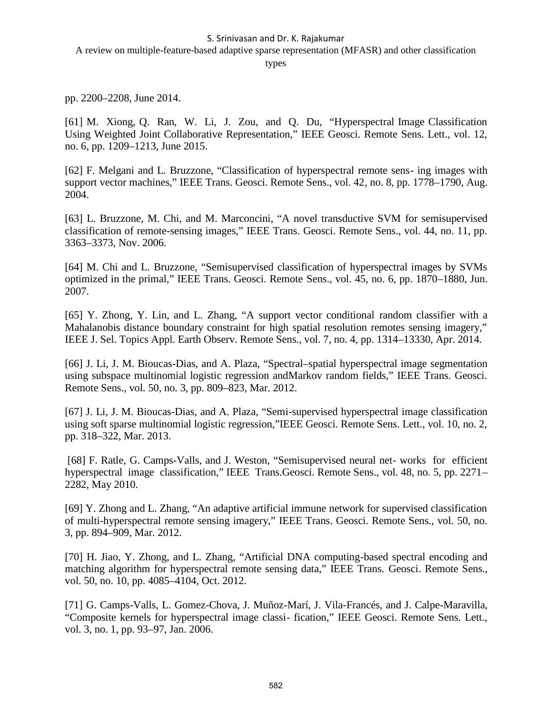A review on multiple-feature-based adaptive sparse representation (MFASR) and other classification

types

pp. 2200–2208, June 2014.

[61] M. Xiong, Q. Ran, W. Li, J. Zou, and Q. Du, "Hyperspectral Image Classification Using Weighted Joint Collaborative Representation," IEEE Geosci. Remote Sens. Lett., vol. 12, no. 6, pp. 1209–1213, June 2015.

[62] F. Melgani and L. Bruzzone, "Classification of hyperspectral remote sens- ing images with support vector machines," IEEE Trans. Geosci. Remote Sens., vol. 42, no. 8, pp. 1778–1790, Aug. 2004.

[63] L. Bruzzone, M. Chi, and M. Marconcini, "A novel transductive SVM for semisupervised classification of remote-sensing images," IEEE Trans. Geosci. Remote Sens., vol. 44, no. 11, pp. 3363–3373, Nov. 2006.

[64] M. Chi and L. Bruzzone, "Semisupervised classification of hyperspectral images by SVMs optimized in the primal," IEEE Trans. Geosci. Remote Sens., vol. 45, no. 6, pp. 1870–1880, Jun. 2007.

[65] Y. Zhong, Y. Lin, and L. Zhang, "A support vector conditional random classifier with a Mahalanobis distance boundary constraint for high spatial resolution remotes sensing imagery," IEEE J. Sel. Topics Appl. Earth Observ. Remote Sens., vol. 7, no. 4, pp. 1314–13330, Apr. 2014.

[66] J. Li, J. M. Bioucas-Dias, and A. Plaza, "Spectral–spatial hyperspectral image segmentation using subspace multinomial logistic regression andMarkov random fields," IEEE Trans. Geosci. Remote Sens., vol. 50, no. 3, pp. 809–823, Mar. 2012.

[67] J. Li, J. M. Bioucas-Dias, and A. Plaza, "Semi-supervised hyperspectral image classification using soft sparse multinomial logistic regression,"IEEE Geosci. Remote Sens. Lett., vol. 10, no. 2, pp. 318–322, Mar. 2013.

[68] F. Ratle, G. Camps-Valls, and J. Weston, "Semisupervised neural net- works for efficient hyperspectral image classification," IEEE Trans.Geosci. Remote Sens., vol. 48, no. 5, pp. 2271– 2282, May 2010.

[69] Y. Zhong and L. Zhang, "An adaptive artificial immune network for supervised classification of multi-hyperspectral remote sensing imagery," IEEE Trans. Geosci. Remote Sens., vol. 50, no. 3, pp. 894–909, Mar. 2012.

[70] H. Jiao, Y. Zhong, and L. Zhang, "Artificial DNA computing-based spectral encoding and matching algorithm for hyperspectral remote sensing data," IEEE Trans. Geosci. Remote Sens., vol. 50, no. 10, pp. 4085–4104, Oct. 2012.

[71] G. Camps-Valls, L. Gomez-Chova, J. Muñoz-Marí, J. Vila-Francés, and J. Calpe-Maravilla, "Composite kernels for hyperspectral image classi- fication," IEEE Geosci. Remote Sens. Lett., vol. 3, no. 1, pp. 93–97, Jan. 2006.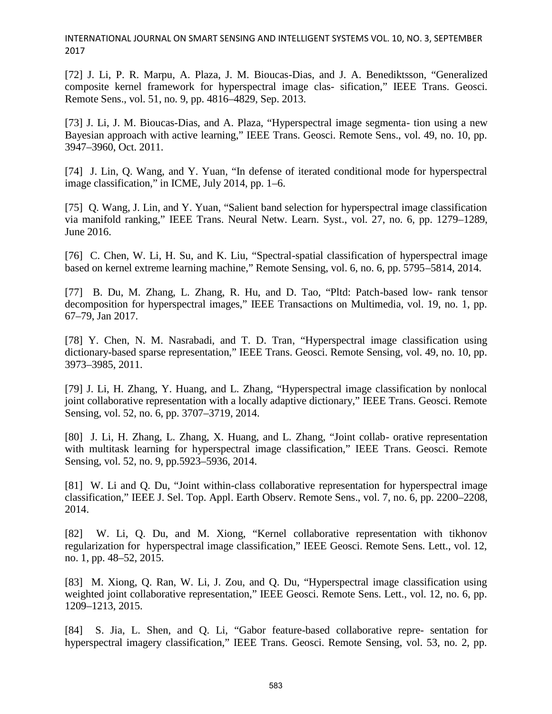[72] J. Li, P. R. Marpu, A. Plaza, J. M. Bioucas-Dias, and J. A. Benediktsson, "Generalized composite kernel framework for hyperspectral image clas- sification," IEEE Trans. Geosci. Remote Sens., vol. 51, no. 9, pp. 4816–4829, Sep. 2013.

[73] J. Li, J. M. Bioucas-Dias, and A. Plaza, "Hyperspectral image segmenta- tion using a new Bayesian approach with active learning," IEEE Trans. Geosci. Remote Sens., vol. 49, no. 10, pp. 3947–3960, Oct. 2011.

[74] J. Lin, Q. Wang, and Y. Yuan, "In defense of iterated conditional mode for hyperspectral image classification," in ICME, July 2014, pp. 1–6.

[75] Q. Wang, J. Lin, and Y. Yuan, "Salient band selection for hyperspectral image classification via manifold ranking," IEEE Trans. Neural Netw. Learn. Syst., vol. 27, no. 6, pp. 1279–1289, June 2016.

[76] C. Chen, W. Li, H. Su, and K. Liu, "Spectral-spatial classification of hyperspectral image based on kernel extreme learning machine," Remote Sensing, vol. 6, no. 6, pp. 5795–5814, 2014.

[77] B. Du, M. Zhang, L. Zhang, R. Hu, and D. Tao, "Pltd: Patch-based low- rank tensor decomposition for hyperspectral images," IEEE Transactions on Multimedia, vol. 19, no. 1, pp. 67–79, Jan 2017.

[78] Y. Chen, N. M. Nasrabadi, and T. D. Tran, "Hyperspectral image classification using dictionary-based sparse representation," IEEE Trans. Geosci. Remote Sensing, vol. 49, no. 10, pp. 3973–3985, 2011.

[79] J. Li, H. Zhang, Y. Huang, and L. Zhang, "Hyperspectral image classification by nonlocal joint collaborative representation with a locally adaptive dictionary," IEEE Trans. Geosci. Remote Sensing, vol. 52, no. 6, pp. 3707–3719, 2014.

[80] J. Li, H. Zhang, L. Zhang, X. Huang, and L. Zhang, "Joint collab- orative representation with multitask learning for hyperspectral image classification," IEEE Trans. Geosci. Remote Sensing, vol. 52, no. 9, pp.5923–5936, 2014.

[81] W. Li and Q. Du, "Joint within-class collaborative representation for hyperspectral image classification," IEEE J. Sel. Top. Appl. Earth Observ. Remote Sens., vol. 7, no. 6, pp. 2200–2208, 2014.

[82] W. Li, Q. Du, and M. Xiong, "Kernel collaborative representation with tikhonov regularization for hyperspectral image classification," IEEE Geosci. Remote Sens. Lett., vol. 12, no. 1, pp. 48–52, 2015.

[83] M. Xiong, Q. Ran, W. Li, J. Zou, and Q. Du, "Hyperspectral image classification using weighted joint collaborative representation," IEEE Geosci. Remote Sens. Lett., vol. 12, no. 6, pp. 1209–1213, 2015.

[84] S. Jia, L. Shen, and Q. Li, "Gabor feature-based collaborative repre- sentation for hyperspectral imagery classification," IEEE Trans. Geosci. Remote Sensing, vol. 53, no. 2, pp.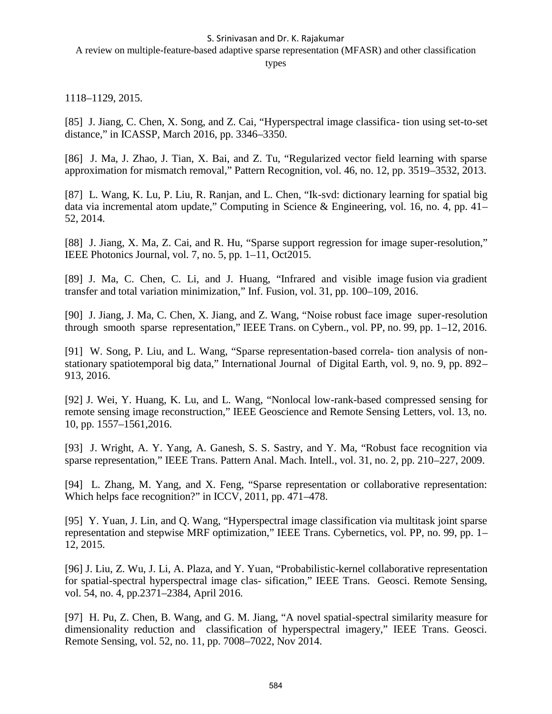A review on multiple-feature-based adaptive sparse representation (MFASR) and other classification

#### types

1118–1129, 2015.

[85] J. Jiang, C. Chen, X. Song, and Z. Cai, "Hyperspectral image classifica- tion using set-to-set distance," in ICASSP, March 2016, pp. 3346–3350.

[86] J. Ma, J. Zhao, J. Tian, X. Bai, and Z. Tu, "Regularized vector field learning with sparse approximation for mismatch removal," Pattern Recognition, vol. 46, no. 12, pp. 3519–3532, 2013.

[87] L. Wang, K. Lu, P. Liu, R. Ranjan, and L. Chen, "Ik-svd: dictionary learning for spatial big data via incremental atom update," Computing in Science & Engineering, vol. 16, no. 4, pp. 41– 52, 2014.

[88] J. Jiang, X. Ma, Z. Cai, and R. Hu, "Sparse support regression for image super-resolution," IEEE Photonics Journal, vol. 7, no. 5, pp. 1–11, Oct2015.

[89] J. Ma, C. Chen, C. Li, and J. Huang, "Infrared and visible image fusion via gradient transfer and total variation minimization," Inf. Fusion, vol. 31, pp. 100–109, 2016.

[90] J. Jiang, J. Ma, C. Chen, X. Jiang, and Z. Wang, "Noise robust face image super-resolution through smooth sparse representation," IEEE Trans. on Cybern., vol. PP, no. 99, pp. 1–12, 2016.

[91] W. Song, P. Liu, and L. Wang, "Sparse representation-based correla- tion analysis of non stationary spatiotemporal big data," International Journal of Digital Earth, vol. 9, no. 9, pp. 892– 913, 2016.

[92] J. Wei, Y. Huang, K. Lu, and L. Wang, "Nonlocal low-rank-based compressed sensing for remote sensing image reconstruction," IEEE Geoscience and Remote Sensing Letters, vol. 13, no. 10, pp. 1557–1561,2016.

[93] J. Wright, A. Y. Yang, A. Ganesh, S. S. Sastry, and Y. Ma, "Robust face recognition via sparse representation," IEEE Trans. Pattern Anal. Mach. Intell., vol. 31, no. 2, pp. 210–227, 2009.

[94] L. Zhang, M. Yang, and X. Feng, "Sparse representation or collaborative representation: Which helps face recognition?" in ICCV, 2011, pp. 471–478.

[95] Y. Yuan, J. Lin, and Q. Wang, "Hyperspectral image classification via multitask joint sparse representation and stepwise MRF optimization," IEEE Trans. Cybernetics, vol. PP, no. 99, pp. 1– 12, 2015.

[96] J. Liu, Z. Wu, J. Li, A. Plaza, and Y. Yuan, "Probabilistic-kernel collaborative representation for spatial-spectral hyperspectral image clas- sification," IEEE Trans. Geosci. Remote Sensing, vol. 54, no. 4, pp.2371–2384, April 2016.

[97] H. Pu, Z. Chen, B. Wang, and G. M. Jiang, "A novel spatial-spectral similarity measure for dimensionality reduction and classification of hyperspectral imagery," IEEE Trans. Geosci. Remote Sensing, vol. 52, no. 11, pp. 7008–7022, Nov 2014.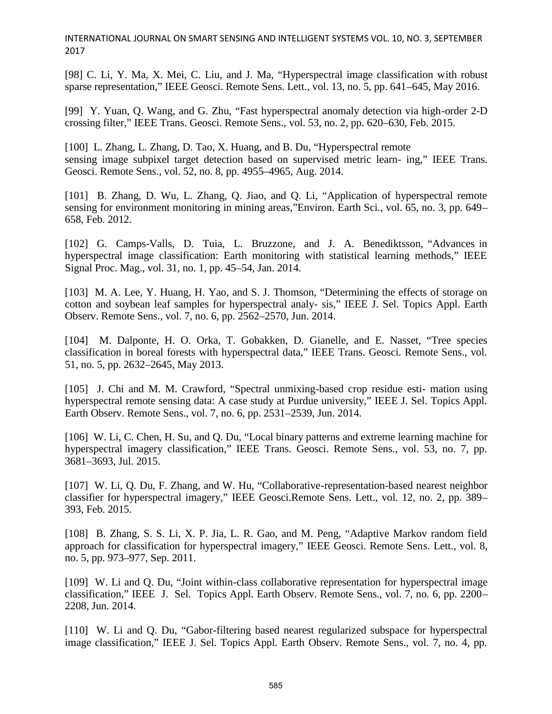[98] C. Li, Y. Ma, X. Mei, C. Liu, and J. Ma, "Hyperspectral image classification with robust sparse representation," IEEE Geosci. Remote Sens. Lett., vol. 13, no. 5, pp. 641–645, May 2016.

[99] Y. Yuan, Q. Wang, and G. Zhu, "Fast hyperspectral anomaly detection via high-order 2-D crossing filter," IEEE Trans. Geosci. Remote Sens., vol. 53, no. 2, pp. 620–630, Feb. 2015.

[100] L. Zhang, L. Zhang, D. Tao, X. Huang, and B. Du, "Hyperspectral remote sensing image subpixel target detection based on supervised metric learn- ing," IEEE Trans. Geosci. Remote Sens., vol. 52, no. 8, pp. 4955–4965, Aug. 2014.

[101] B. Zhang, D. Wu, L. Zhang, Q. Jiao, and Q. Li, "Application of hyperspectral remote sensing for environment monitoring in mining areas,"Environ. Earth Sci., vol. 65, no. 3, pp. 649– 658, Feb. 2012.

[102] G. Camps-Valls, D. Tuia, L. Bruzzone, and J. A. Benediktsson, "Advances in hyperspectral image classification: Earth monitoring with statistical learning methods," IEEE Signal Proc. Mag., vol. 31, no. 1, pp. 45–54, Jan. 2014.

[103] M. A. Lee, Y. Huang, H. Yao, and S. J. Thomson, "Determining the effects of storage on cotton and soybean leaf samples for hyperspectral analy- sis," IEEE J. Sel. Topics Appl. Earth Observ. Remote Sens., vol. 7, no. 6, pp. 2562–2570, Jun. 2014.

[104] M. Dalponte, H. O. Orka, T. Gobakken, D. Gianelle, and E. Nasset, "Tree species classification in boreal forests with hyperspectral data," IEEE Trans. Geosci. Remote Sens., vol. 51, no. 5, pp. 2632–2645, May 2013.

[105] J. Chi and M. M. Crawford, "Spectral unmixing-based crop residue esti- mation using hyperspectral remote sensing data: A case study at Purdue university," IEEE J. Sel. Topics Appl. Earth Observ. Remote Sens., vol. 7, no. 6, pp. 2531–2539, Jun. 2014.

[106] W. Li, C. Chen, H. Su, and Q. Du, "Local binary patterns and extreme learning machine for hyperspectral imagery classification," IEEE Trans. Geosci. Remote Sens., vol. 53, no. 7, pp. 3681–3693, Jul. 2015.

[107] W. Li, Q. Du, F. Zhang, and W. Hu, "Collaborative-representation-based nearest neighbor classifier for hyperspectral imagery," IEEE Geosci.Remote Sens. Lett., vol. 12, no. 2, pp. 389– 393, Feb. 2015.

[108] B. Zhang, S. S. Li, X. P. Jia, L. R. Gao, and M. Peng, "Adaptive Markov random field approach for classification for hyperspectral imagery," IEEE Geosci. Remote Sens. Lett., vol. 8, no. 5, pp. 973–977, Sep. 2011.

[109] W. Li and Q. Du, "Joint within-class collaborative representation for hyperspectral image classification," IEEE J. Sel. Topics Appl. Earth Observ. Remote Sens., vol. 7, no. 6, pp. 2200– 2208, Jun. 2014.

[110] W. Li and O. Du, "Gabor-filtering based nearest regularized subspace for hyperspectral image classification," IEEE J. Sel. Topics Appl. Earth Observ. Remote Sens., vol. 7, no. 4, pp.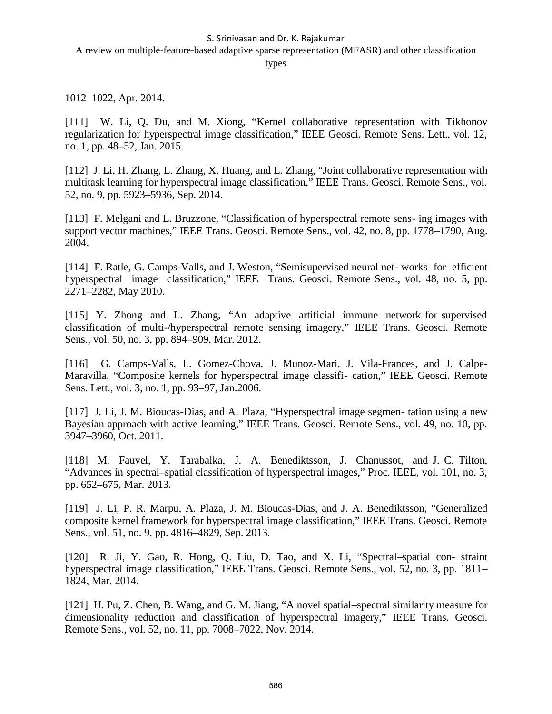A review on multiple-feature-based adaptive sparse representation (MFASR) and other classification

types

1012–1022, Apr. 2014.

[111] W. Li, Q. Du, and M. Xiong, "Kernel collaborative representation with Tikhonov regularization for hyperspectral image classification," IEEE Geosci. Remote Sens. Lett., vol. 12, no. 1, pp. 48–52, Jan. 2015.

[112] J. Li, H. Zhang, L. Zhang, X. Huang, and L. Zhang, "Joint collaborative representation with multitask learning for hyperspectral image classification," IEEE Trans. Geosci. Remote Sens., vol. 52, no. 9, pp. 5923–5936, Sep. 2014.

[113] F. Melgani and L. Bruzzone, "Classification of hyperspectral remote sens- ing images with support vector machines," IEEE Trans. Geosci. Remote Sens., vol. 42, no. 8, pp. 1778–1790, Aug. 2004.

[114] F. Ratle, G. Camps-Valls, and J. Weston, "Semisupervised neural net- works for efficient hyperspectral image classification," IEEE Trans. Geosci. Remote Sens., vol. 48, no. 5, pp. 2271–2282, May 2010.

[115] Y. Zhong and L. Zhang, "An adaptive artificial immune network for supervised classification of multi-/hyperspectral remote sensing imagery," IEEE Trans. Geosci. Remote Sens., vol. 50, no. 3, pp. 894–909, Mar. 2012.

[116] G. Camps-Valls, L. Gomez-Chova, J. Munoz-Mari, J. Vila-Frances, and J. Calpe- Maravilla, "Composite kernels for hyperspectral image classifi- cation," IEEE Geosci. Remote Sens. Lett., vol. 3, no. 1, pp. 93–97, Jan.2006.

[117] J. Li, J. M. Bioucas-Dias, and A. Plaza, "Hyperspectral image segmen-tation using a new Bayesian approach with active learning," IEEE Trans. Geosci. Remote Sens., vol. 49, no. 10, pp. 3947–3960, Oct. 2011.

[118] M. Fauvel, Y. Tarabalka, J. A. Benediktsson, J. Chanussot, and J. C. Tilton, "Advances in spectral–spatial classification of hyperspectral images," Proc. IEEE, vol. 101, no. 3, pp. 652–675, Mar. 2013.

[119] J. Li, P. R. Marpu, A. Plaza, J. M. Bioucas-Dias, and J. A. Benediktsson, "Generalized composite kernel framework for hyperspectral image classification," IEEE Trans. Geosci. Remote Sens., vol. 51, no. 9, pp. 4816–4829, Sep. 2013.

[120] R. Ji, Y. Gao, R. Hong, Q. Liu, D. Tao, and X. Li, "Spectral-spatial con- straint hyperspectral image classification," IEEE Trans. Geosci. Remote Sens., vol. 52, no. 3, pp. 1811– 1824, Mar. 2014.

[121] H. Pu, Z. Chen, B. Wang, and G. M. Jiang, "A novel spatial–spectral similarity measure for dimensionality reduction and classification of hyperspectral imagery," IEEE Trans. Geosci. Remote Sens., vol. 52, no. 11, pp. 7008–7022, Nov. 2014.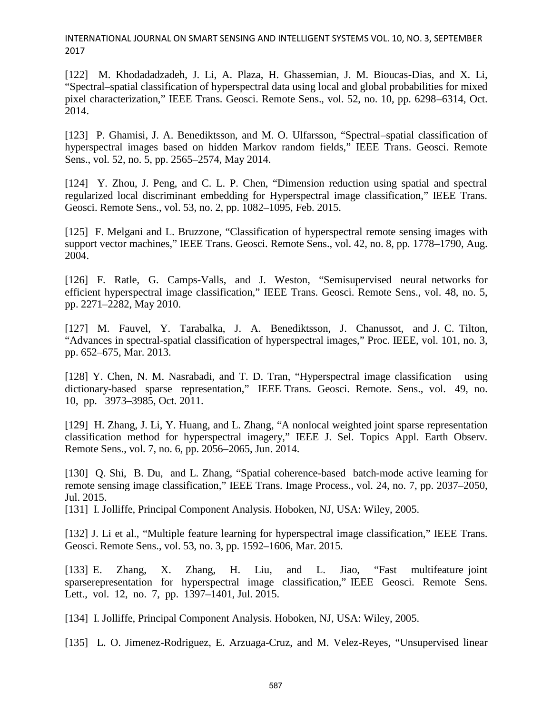[122] M. Khodadadzadeh, J. Li, A. Plaza, H. Ghassemian, J. M. Bioucas-Dias, and X. Li, "Spectral–spatial classification of hyperspectral data using local and global probabilities for mixed pixel characterization," IEEE Trans. Geosci. Remote Sens., vol. 52, no. 10, pp. 6298–6314, Oct. 2014.

[123] P. Ghamisi, J. A. Benediktsson, and M. O. Ulfarsson, "Spectral–spatial classification of hyperspectral images based on hidden Markov random fields," IEEE Trans. Geosci. Remote Sens., vol. 52, no. 5, pp. 2565–2574, May 2014.

[124] Y. Zhou, J. Peng, and C. L. P. Chen, "Dimension reduction using spatial and spectral regularized local discriminant embedding for Hyperspectral image classification," IEEE Trans. Geosci. Remote Sens., vol. 53, no. 2, pp. 1082–1095, Feb. 2015.

[125] F. Melgani and L. Bruzzone, "Classification of hyperspectral remote sensing images with support vector machines," IEEE Trans. Geosci. Remote Sens., vol. 42, no. 8, pp. 1778–1790, Aug. 2004.

[126] F. Ratle, G. Camps-Valls, and J. Weston, "Semisupervised neural networks for efficient hyperspectral image classification," IEEE Trans. Geosci. Remote Sens., vol. 48, no. 5, pp. 2271–2282, May 2010.

[127] M. Fauvel, Y. Tarabalka, J. A. Benediktsson, J. Chanussot, and J. C. Tilton, "Advances in spectral-spatial classification of hyperspectral images," Proc. IEEE, vol. 101, no. 3, pp. 652–675, Mar. 2013.

[128] Y. Chen, N. M. Nasrabadi, and T. D. Tran, "Hyperspectral image classification using dictionary-based sparse representation," IEEE Trans. Geosci. Remote. Sens., vol. 49, no. 10, pp. 3973–3985, Oct. 2011.

[129] H. Zhang, J. Li, Y. Huang, and L. Zhang, "A nonlocal weighted joint sparse representation classification method for hyperspectral imagery," IEEE J. Sel. Topics Appl. Earth Observ. Remote Sens., vol. 7, no. 6, pp. 2056–2065, Jun. 2014.

[130] Q. Shi, B. Du, and L. Zhang, "Spatial coherence-based batch-mode active learning for remote sensing image classification," IEEE Trans. Image Process., vol. 24, no. 7, pp. 2037–2050, Jul. 2015.

[131] I. Jolliffe, Principal Component Analysis. Hoboken, NJ, USA: Wiley, 2005.

[132] J. Li et al., "Multiple feature learning for hyperspectral image classification," IEEE Trans. Geosci. Remote Sens., vol. 53, no. 3, pp. 1592–1606, Mar. 2015.

[133] E. Zhang, X. Zhang, H. Liu, and L. Jiao, "Fast multifeature joint sparserepresentation for hyperspectral image classification," IEEE Geosci. Remote Sens. Lett., vol. 12, no. 7, pp. 1397–1401, Jul. 2015.

[134] I. Jolliffe, Principal Component Analysis. Hoboken, NJ, USA: Wiley, 2005.

[135] L. O. Jimenez-Rodriguez, E. Arzuaga-Cruz, and M. Velez-Reyes, "Unsupervised linear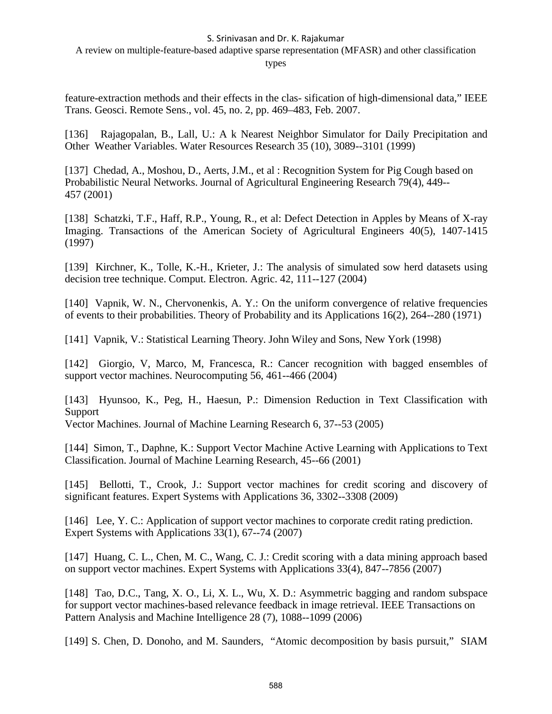A review on multiple-feature-based adaptive sparse representation (MFASR) and other classification

types

feature-extraction methods and their effects in the clas- sification of high-dimensional data," IEEE Trans. Geosci. Remote Sens., vol. 45, no. 2, pp. 469–483, Feb. 2007.

[136] Rajagopalan, B., Lall, U.: A k Nearest Neighbor Simulator for Daily Precipitation and Other Weather Variables. Water Resources Research 35 (10), 3089--3101 (1999)

[137] Chedad, A., Moshou, D., Aerts, J.M., et al : Recognition System for Pig Cough based on Probabilistic Neural Networks. Journal of Agricultural Engineering Research 79(4), 449-- 457 (2001)

[138] Schatzki, T.F., Haff, R.P., Young, R., et al: Defect Detection in Apples by Means of X-ray Imaging. Transactions of the American Society of Agricultural Engineers 40(5), 1407-1415 (1997)

[139] Kirchner, K., Tolle, K.-H., Krieter, J.: The analysis of simulated sow herd datasets using decision tree technique. Comput. Electron. Agric. 42, 111--127 (2004)

[140] Vapnik, W. N., Chervonenkis, A. Y.: On the uniform convergence of relative frequencies of events to their probabilities. Theory of Probability and its Applications 16(2), 264--280 (1971)

[141] Vapnik, V.: Statistical Learning Theory. John Wiley and Sons, New York (1998)

[142] Giorgio, V, Marco, M, Francesca, R.: Cancer recognition with bagged ensembles of support vector machines. Neurocomputing 56, 461--466 (2004)

[143] Hyunsoo, K., Peg, H., Haesun, P.: Dimension Reduction in Text Classification with Support

Vector Machines. Journal of Machine Learning Research 6, 37--53 (2005)

[144] Simon, T., Daphne, K.: Support Vector Machine Active Learning with Applications to Text Classification. Journal of Machine Learning Research, 45--66 (2001)

[145] Bellotti, T., Crook, J.: Support vector machines for credit scoring and discovery of significant features. Expert Systems with Applications 36, 3302--3308 (2009)

[146] Lee, Y. C.: Application of support vector machines to corporate credit rating prediction. Expert Systems with Applications 33(1), 67--74 (2007)

[147] Huang, C. L., Chen, M. C., Wang, C. J.: Credit scoring with a data mining approach based on support vector machines. Expert Systems with Applications 33(4), 847--7856 (2007)

[148] Tao, D.C., Tang, X. O., Li, X. L., Wu, X. D.: Asymmetric bagging and random subspace for support vector machines-based relevance feedback in image retrieval. IEEE Transactions on Pattern Analysis and Machine Intelligence 28 (7), 1088--1099 (2006)

[149] S. Chen, D. Donoho, and M. Saunders, "Atomic decomposition by basis pursuit," SIAM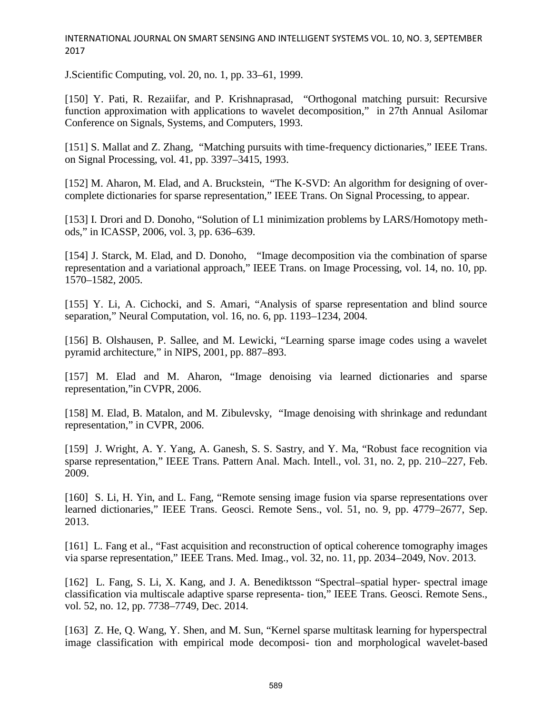J.Scientific Computing, vol. 20, no. 1, pp. 33–61, 1999.

[150] Y. Pati, R. Rezaiifar, and P. Krishnaprasad, "Orthogonal matching pursuit: Recursive function approximation with applications to wavelet decomposition," in 27th Annual Asilomar Conference on Signals, Systems, and Computers, 1993.

[151] S. Mallat and Z. Zhang, "Matching pursuits with time-frequency dictionaries," IEEE Trans. on Signal Processing, vol. 41, pp. 3397–3415, 1993.

[152] M. Aharon, M. Elad, and A. Bruckstein, "The K-SVD: An algorithm for designing of overcomplete dictionaries for sparse representation," IEEE Trans. On Signal Processing, to appear.

[153] I. Drori and D. Donoho, "Solution of L1 minimization problems by LARS/Homotopy methods," in ICASSP, 2006, vol. 3, pp. 636–639.

[154] J. Starck, M. Elad, and D. Donoho, "Image decomposition via the combination of sparse representation and a variational approach," IEEE Trans. on Image Processing, vol. 14, no. 10, pp. 1570–1582, 2005.

[155] Y. Li, A. Cichocki, and S. Amari, "Analysis of sparse representation and blind source separation," Neural Computation, vol. 16, no. 6, pp. 1193–1234, 2004.

[156] B. Olshausen, P. Sallee, and M. Lewicki, "Learning sparse image codes using a wavelet pyramid architecture," in NIPS, 2001, pp. 887–893.

[157] M. Elad and M. Aharon, "Image denoising via learned dictionaries and sparse representation,"in CVPR, 2006.

[158] M. Elad, B. Matalon, and M. Zibulevsky, "Image denoising with shrinkage and redundant representation," in CVPR, 2006.

[159] J. Wright, A. Y. Yang, A. Ganesh, S. S. Sastry, and Y. Ma, "Robust face recognition via sparse representation," IEEE Trans. Pattern Anal. Mach. Intell., vol. 31, no. 2, pp. 210–227, Feb. 2009.

[160] S. Li, H. Yin, and L. Fang, "Remote sensing image fusion via sparse representations over learned dictionaries," IEEE Trans. Geosci. Remote Sens., vol. 51, no. 9, pp. 4779–2677, Sep. 2013.

[161] L. Fang et al., "Fast acquisition and reconstruction of optical coherence tomography images via sparse representation," IEEE Trans. Med. Imag., vol. 32, no. 11, pp. 2034–2049, Nov. 2013.

[162] L. Fang, S. Li, X. Kang, and J. A. Benediktsson "Spectral–spatial hyper- spectral image classification via multiscale adaptive sparse representa- tion," IEEE Trans. Geosci. Remote Sens., vol. 52, no. 12, pp. 7738–7749, Dec. 2014.

[163] Z. He, O. Wang, Y. Shen, and M. Sun, "Kernel sparse multitask learning for hyperspectral image classification with empirical mode decomposi- tion and morphological wavelet-based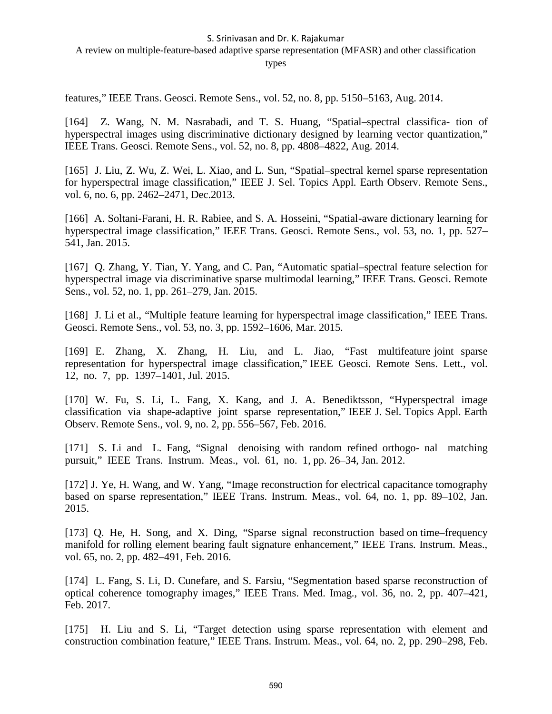A review on multiple-feature-based adaptive sparse representation (MFASR) and other classification

types

features," IEEE Trans. Geosci. Remote Sens., vol. 52, no. 8, pp. 5150–5163, Aug. 2014.

[164] Z. Wang, N. M. Nasrabadi, and T. S. Huang, "Spatial–spectral classifica- tion of hyperspectral images using discriminative dictionary designed by learning vector quantization," IEEE Trans. Geosci. Remote Sens., vol. 52, no. 8, pp. 4808–4822, Aug. 2014.

[165] J. Liu, Z. Wu, Z. Wei, L. Xiao, and L. Sun, "Spatial–spectral kernel sparse representation for hyperspectral image classification," IEEE J. Sel. Topics Appl. Earth Observ. Remote Sens., vol. 6, no. 6, pp. 2462–2471, Dec.2013.

[166] A. Soltani-Farani, H. R. Rabiee, and S. A. Hosseini, "Spatial-aware dictionary learning for hyperspectral image classification," IEEE Trans. Geosci. Remote Sens., vol. 53, no. 1, pp. 527– 541, Jan. 2015.

[167] Q. Zhang, Y. Tian, Y. Yang, and C. Pan, "Automatic spatial–spectral feature selection for hyperspectral image via discriminative sparse multimodal learning," IEEE Trans. Geosci. Remote Sens., vol. 52, no. 1, pp. 261–279, Jan. 2015.

[168] J. Li et al., "Multiple feature learning for hyperspectral image classification," IEEE Trans. Geosci. Remote Sens., vol. 53, no. 3, pp. 1592–1606, Mar. 2015.

[169] E. Zhang, X. Zhang, H. Liu, and L. Jiao, "Fast multifeature joint sparse representation for hyperspectral image classification," IEEE Geosci. Remote Sens. Lett., vol. 12, no. 7, pp. 1397–1401, Jul. 2015.

[170] W. Fu, S. Li, L. Fang, X. Kang, and J. A. Benediktsson, "Hyperspectral image classification via shape-adaptive joint sparse representation," IEEE J. Sel. Topics Appl. Earth Observ. Remote Sens., vol. 9, no. 2, pp. 556–567, Feb. 2016.

[171] S. Li and L. Fang, "Signal denoising with random refined orthogo- nal matching pursuit," IEEE Trans. Instrum. Meas., vol. 61, no. 1, pp. 26–34, Jan. 2012.

[172] J. Ye, H. Wang, and W. Yang, "Image reconstruction for electrical capacitance tomography based on sparse representation," IEEE Trans. Instrum. Meas., vol. 64, no. 1, pp. 89–102, Jan. 2015.

[173] Q. He, H. Song, and X. Ding, "Sparse signal reconstruction based on time–frequency manifold for rolling element bearing fault signature enhancement," IEEE Trans. Instrum. Meas., vol. 65, no. 2, pp. 482–491, Feb. 2016.

[174] L. Fang, S. Li, D. Cunefare, and S. Farsiu, "Segmentation based sparse reconstruction of optical coherence tomography images," IEEE Trans. Med. Imag., vol. 36, no. 2, pp. 407–421, Feb. 2017.

[175] H. Liu and S. Li, "Target detection using sparse representation with element and construction combination feature," IEEE Trans. Instrum. Meas., vol. 64, no. 2, pp. 290–298, Feb.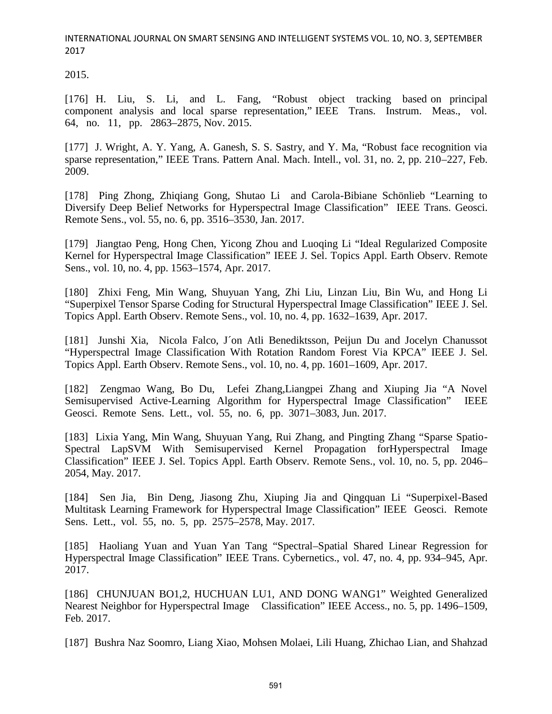2015.

[176] H. Liu, S. Li, and L. Fang, "Robust object tracking based on principal component analysis and local sparse representation," IEEE Trans. Instrum. Meas., vol. 64, no. 11, pp. 2863–2875, Nov. 2015.

[177] J. Wright, A. Y. Yang, A. Ganesh, S. S. Sastry, and Y. Ma, "Robust face recognition via sparse representation," IEEE Trans. Pattern Anal. Mach. Intell., vol. 31, no. 2, pp. 210–227, Feb. 2009.

[178] Ping Zhong, Zhiqiang Gong, Shutao Li and Carola-Bibiane Schönlieb "Learning to Diversify Deep Belief Networks for Hyperspectral Image Classification" IEEE Trans. Geosci. Remote Sens., vol. 55, no. 6, pp. 3516–3530, Jan. 2017.

[179] Jiangtao Peng, Hong Chen, Yicong Zhou and Luoqing Li "Ideal Regularized Composite Kernel for Hyperspectral Image Classification" IEEE J. Sel. Topics Appl. Earth Observ. Remote Sens., vol. 10, no. 4, pp. 1563–1574, Apr. 2017.

[180] Zhixi Feng, Min Wang, Shuyuan Yang, Zhi Liu, Linzan Liu, Bin Wu, and Hong Li "Superpixel Tensor Sparse Coding for Structural Hyperspectral Image Classification" IEEE J. Sel. Topics Appl. Earth Observ. Remote Sens., vol. 10, no. 4, pp. 1632–1639, Apr. 2017.

[181] Junshi Xia, Nicola Falco, J´on Atli Benediktsson, Peijun Du and Jocelyn Chanussot "Hyperspectral Image Classification With Rotation Random Forest Via KPCA" IEEE J. Sel. Topics Appl. Earth Observ. Remote Sens., vol. 10, no. 4, pp. 1601–1609, Apr. 2017.

[182] Zengmao Wang, Bo Du, Lefei Zhang,Liangpei Zhang and Xiuping Jia "A Novel Semisupervised Active-Learning Algorithm for Hyperspectral Image Classification" IEEE Geosci. Remote Sens. Lett., vol. 55, no. 6, pp. 3071–3083, Jun. 2017.

[183] Lixia Yang, Min Wang, Shuyuan Yang, Rui Zhang, and Pingting Zhang "Sparse Spatio-Spectral LapSVM With Semisupervised Kernel Propagation forHyperspectral Image Classification" IEEE J. Sel. Topics Appl. Earth Observ. Remote Sens., vol. 10, no. 5, pp. 2046– 2054, May. 2017.

[184] Sen Jia, Bin Deng, Jiasong Zhu, Xiuping Jia and Qingquan Li "Superpixel-Based Multitask Learning Framework for Hyperspectral Image Classification" IEEE Geosci. Remote Sens. Lett., vol. 55, no. 5, pp. 2575–2578, May. 2017.

[185] Haoliang Yuan and Yuan Yan Tang "Spectral–Spatial Shared Linear Regression for Hyperspectral Image Classification" IEEE Trans. Cybernetics., vol. 47, no. 4, pp. 934–945, Apr. 2017.

[186] CHUNJUAN BO1,2, HUCHUAN LU1, AND DONG WANG1" Weighted Generalized Nearest Neighbor for Hyperspectral Image Classification" IEEE Access., no. 5, pp. 1496–1509, Feb. 2017.

[187] Bushra Naz Soomro, Liang Xiao, Mohsen Molaei, Lili Huang, Zhichao Lian, and Shahzad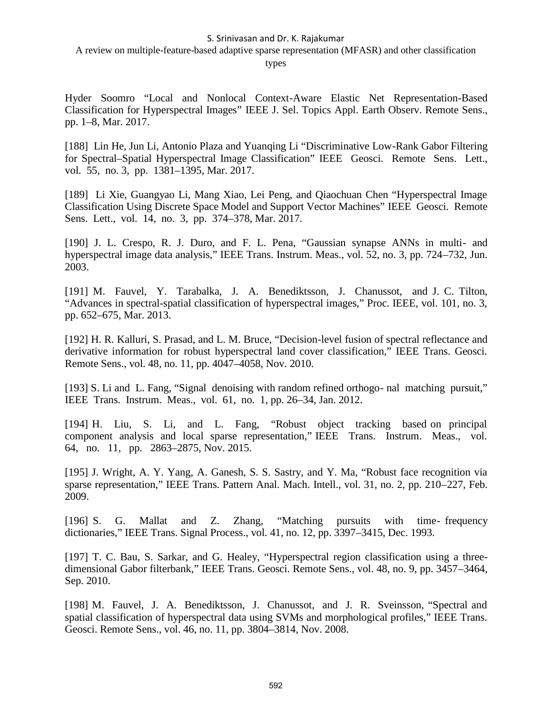A review on multiple-feature-based adaptive sparse representation (MFASR) and other classification

types

Hyder Soomro "Local and Nonlocal Context-Aware Elastic Net Representation-Based Classification for Hyperspectral Images" IEEE J. Sel. Topics Appl. Earth Observ. Remote Sens., pp. 1–8, Mar. 2017.

[188] Lin He, Jun Li, Antonio Plaza and Yuanqing Li "Discriminative Low-Rank Gabor Filtering for Spectral–Spatial Hyperspectral Image Classification" IEEE Geosci. Remote Sens. Lett., vol. 55, no. 3, pp. 1381–1395, Mar. 2017.

[189] Li Xie, Guangyao Li, Mang Xiao, Lei Peng, and Qiaochuan Chen "Hyperspectral Image Classification Using Discrete Space Model and Support Vector Machines" IEEE Geosci. Remote Sens. Lett., vol. 14, no. 3, pp. 374–378, Mar. 2017.

[190] J. L. Crespo, R. J. Duro, and F. L. Pena, "Gaussian synapse ANNs in multi- and hyperspectral image data analysis," IEEE Trans. Instrum. Meas., vol. 52, no. 3, pp. 724–732, Jun. 2003.

[191] M. Fauvel, Y. Tarabalka, J. A. Benediktsson, J. Chanussot, and J. C. Tilton, "Advances in spectral-spatial classification of hyperspectral images," Proc. IEEE, vol. 101, no. 3, pp. 652–675, Mar. 2013.

[192] H. R. Kalluri, S. Prasad, and L. M. Bruce, "Decision-level fusion of spectral reflectance and derivative information for robust hyperspectral land cover classification," IEEE Trans. Geosci. Remote Sens., vol. 48, no. 11, pp. 4047–4058, Nov. 2010.

[193] S. Li and L. Fang, "Signal denoising with random refined orthogo- nal matching pursuit," IEEE Trans. Instrum. Meas., vol. 61, no. 1, pp. 26–34, Jan. 2012.

[194] H. Liu, S. Li, and L. Fang, "Robust object tracking based on principal component analysis and local sparse representation," IEEE Trans. Instrum. Meas., vol. 64, no. 11, pp. 2863–2875, Nov. 2015.

[195] J. Wright, A. Y. Yang, A. Ganesh, S. S. Sastry, and Y. Ma, "Robust face recognition via sparse representation," IEEE Trans. Pattern Anal. Mach. Intell., vol. 31, no. 2, pp. 210–227, Feb. 2009.

[196] S. G. Mallat and Z. Zhang, "Matching pursuits with time- frequency dictionaries," IEEE Trans. Signal Process., vol. 41, no. 12, pp. 3397–3415, Dec. 1993.

[197] T. C. Bau, S. Sarkar, and G. Healey, "Hyperspectral region classification using a threedimensional Gabor filterbank," IEEE Trans. Geosci. Remote Sens., vol. 48, no. 9, pp. 3457–3464, Sep. 2010.

[198] M. Fauvel, J. A. Benediktsson, J. Chanussot, and J. R. Sveinsson, "Spectral and spatial classification of hyperspectral data using SVMs and morphological profiles," IEEE Trans. Geosci. Remote Sens., vol. 46, no. 11, pp. 3804–3814, Nov. 2008.